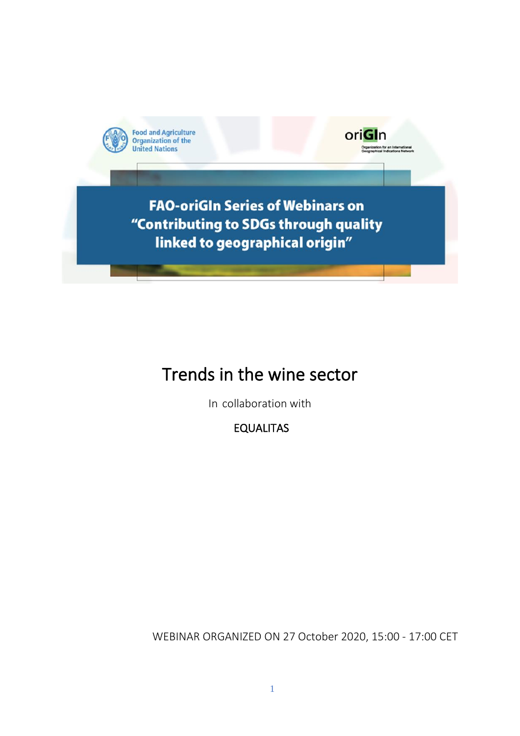

**FAO-oriGIn Series of Webinars on** "Contributing to SDGs through quality linked to geographical origin"

oriGIn

# Trends in the wine sector

In collaboration with

EQUALITAS

WEBINAR ORGANIZED ON 27 October 2020, 15:00 - 17:00 CET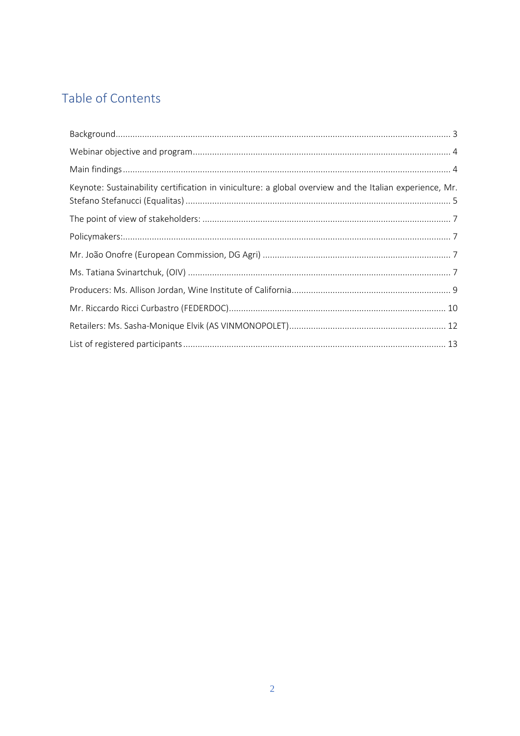## Table of Contents

| Keynote: Sustainability certification in viniculture: a global overview and the Italian experience, Mr. |  |
|---------------------------------------------------------------------------------------------------------|--|
|                                                                                                         |  |
|                                                                                                         |  |
|                                                                                                         |  |
|                                                                                                         |  |
|                                                                                                         |  |
|                                                                                                         |  |
|                                                                                                         |  |
|                                                                                                         |  |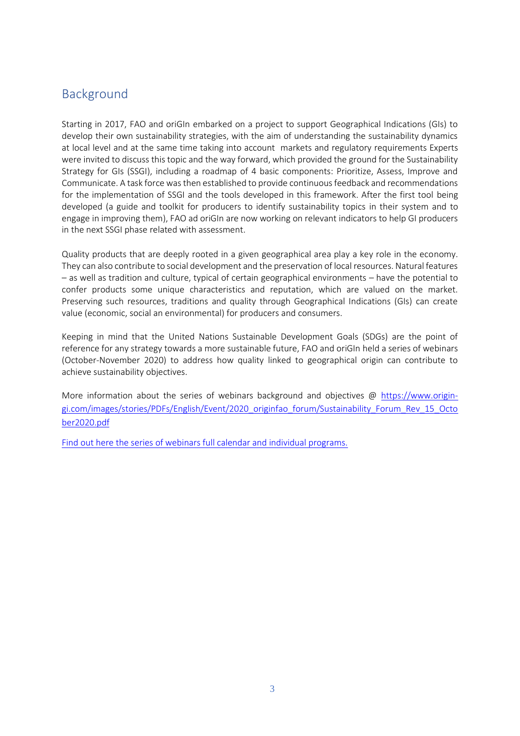## <span id="page-2-0"></span>Background

Starting in 2017, FAO and oriGIn embarked on a project to support Geographical Indications (GIs) to develop their own sustainability strategies, with the aim of understanding the sustainability dynamics at local level and at the same time taking into account markets and regulatory requirements Experts were invited to discuss this topic and the way forward, which provided the ground for the Sustainability Strategy for GIs (SSGI), including a roadmap of 4 basic components: Prioritize, Assess, Improve and Communicate. A task force wasthen established to provide continuous feedback and recommendations for the implementation of SSGI and the tools developed in this framework. After the first tool being developed (a guide and toolkit for producers to identify sustainability topics in their system and to engage in improving them), FAO ad oriGIn are now working on relevant indicators to help GI producers in the next SSGI phase related with assessment.

Quality products that are deeply rooted in a given geographical area play a key role in the economy. They can also contribute to social development and the preservation of local resources. Natural features – as well as tradition and culture, typical of certain geographical environments – have the potential to confer products some unique characteristics and reputation, which are valued on the market. Preserving such resources, traditions and quality through Geographical Indications (GIs) can create value (economic, social an environmental) for producers and consumers.

Keeping in mind that the United Nations Sustainable Development Goals (SDGs) are the point of reference for any strategy towards a more sustainable future, FAO and oriGIn held a series of webinars (October-November 2020) to address how quality linked to geographical origin can contribute to achieve sustainability objectives.

More information about the series of webinars background and objectives @ [https://www.origin](https://www.origin-gi.com/images/stories/PDFs/English/Event/2020_originfao_forum/Sustainability_Forum_Rev_15_October2020.pdf)[gi.com/images/stories/PDFs/English/Event/2020\\_originfao\\_forum/Sustainability\\_Forum\\_Rev\\_15\\_Octo](https://www.origin-gi.com/images/stories/PDFs/English/Event/2020_originfao_forum/Sustainability_Forum_Rev_15_October2020.pdf) [ber2020.pdf](https://www.origin-gi.com/images/stories/PDFs/English/Event/2020_originfao_forum/Sustainability_Forum_Rev_15_October2020.pdf)

[Find out here the series of webinars full calendar and individual programs.](https://www.origin-gi.com/content-page/item/15338-individual-webinars-programs.html)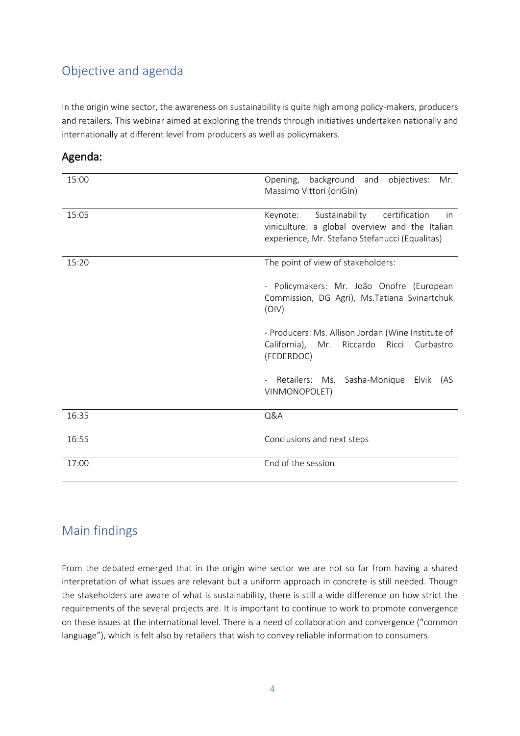## <span id="page-3-0"></span>Objective and agenda

In the origin wine sector, the awareness on sustainability is quite high among policy-makers, producers and retailers. This webinar aimed at exploring the trends through initiatives undertaken nationally and internationally at different level from producers as well as policymakers.

| 15:00 | Opening, background and objectives:<br>Mr.<br>Massimo Vittori (oriGIn)                                                                          |
|-------|-------------------------------------------------------------------------------------------------------------------------------------------------|
| 15:05 | Keynote: Sustainability certification<br>in<br>viniculture: a global overview and the Italian<br>experience, Mr. Stefano Stefanucci (Equalitas) |
| 15:20 | The point of view of stakeholders:                                                                                                              |
|       | - Policymakers: Mr. João Onofre (European<br>Commission, DG Agri), Ms. Tatiana Svinartchuk<br>(OIV)                                             |
|       | - Producers: Ms. Allison Jordan (Wine Institute of<br>California), Mr. Riccardo Ricci Curbastro<br>(FEDERDOC)                                   |
|       | Retailers: Ms. Sasha-Monique Elvik<br>(AS<br>$\bar{\phantom{a}}$<br>VINMONOPOLET)                                                               |
| 16:35 | Q&A                                                                                                                                             |
| 16:55 | Conclusions and next steps                                                                                                                      |
| 17:00 | End of the session                                                                                                                              |

## <span id="page-3-1"></span>Main findings

From the debated emerged that in the origin wine sector we are not so far from having a shared interpretation of what issues are relevant but a uniform approach in concrete is still needed. Though the stakeholders are aware of what is sustainability, there is still a wide difference on how strict the requirements of the several projects are. It is important to continue to work to promote convergence on these issues at the international level. There is a need of collaboration and convergence ("common language"), which is felt also by retailers that wish to convey reliable information to consumers.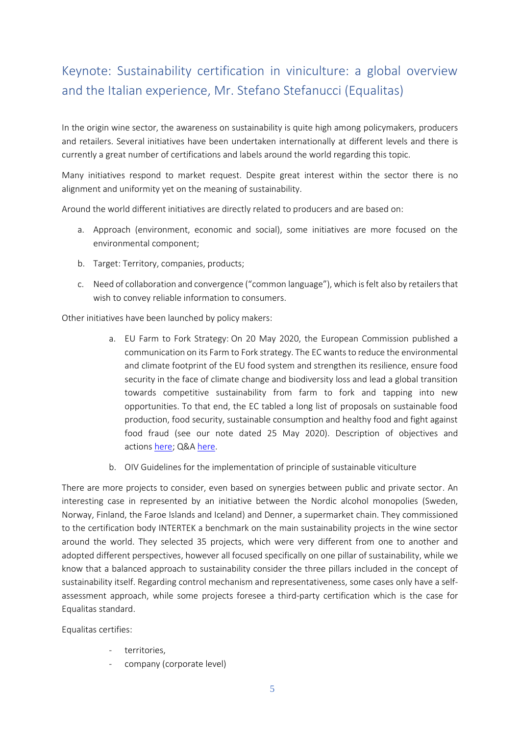## <span id="page-4-0"></span>Keynote: Sustainability certification in viniculture: a global overview and the Italian experience, Mr. Stefano Stefanucci (Equalitas)

In the origin wine sector, the awareness on sustainability is quite high among policymakers, producers and retailers. Several initiatives have been undertaken internationally at different levels and there is currently a great number of certifications and labels around the world regarding this topic.

Many initiatives respond to market request. Despite great interest within the sector there is no alignment and uniformity yet on the meaning of sustainability.

Around the world different initiatives are directly related to producers and are based on:

- a. Approach (environment, economic and social), some initiatives are more focused on the environmental component;
- b. Target: Territory, companies, products;
- c. Need of collaboration and convergence ("common language"), which is felt also by retailers that wish to convey reliable information to consumers.

Other initiatives have been launched by policy makers:

- a. EU Farm to Fork Strategy: On 20 May 2020, the European Commission published a communication on its Farm to Fork strategy. The EC wants to reduce the environmental and climate footprint of the EU food system and strengthen its resilience, ensure food security in the face of climate change and biodiversity loss and lead a global transition towards competitive sustainability from farm to fork and tapping into new opportunities. To that end, the EC tabled a long list of proposals on sustainable food production, food security, sustainable consumption and healthy food and fight against food fraud (see our note dated 25 May 2020). Description of objectives and actions [here;](https://ec.europa.eu/info/sites/info/files/communication-annex-farm-fork-green-deal_en.pdf) Q&A [here.](https://ec.europa.eu/commission/presscorner/detail/en/qanda_20_885)
- b. OIV Guidelines for the implementation of principle of sustainable viticulture

There are more projects to consider, even based on synergies between public and private sector. An interesting case in represented by an initiative between the Nordic alcohol monopolies (Sweden, Norway, Finland, the Faroe Islands and Iceland) and Denner, a supermarket chain. They commissioned to the certification body INTERTEK a benchmark on the main sustainability projects in the wine sector around the world. They selected 35 projects, which were very different from one to another and adopted different perspectives, however all focused specifically on one pillar of sustainability, while we know that a balanced approach to sustainability consider the three pillars included in the concept of sustainability itself. Regarding control mechanism and representativeness, some cases only have a selfassessment approach, while some projects foresee a third-party certification which is the case for Equalitas standard.

Equalitas certifies:

- territories,
- company (corporate level)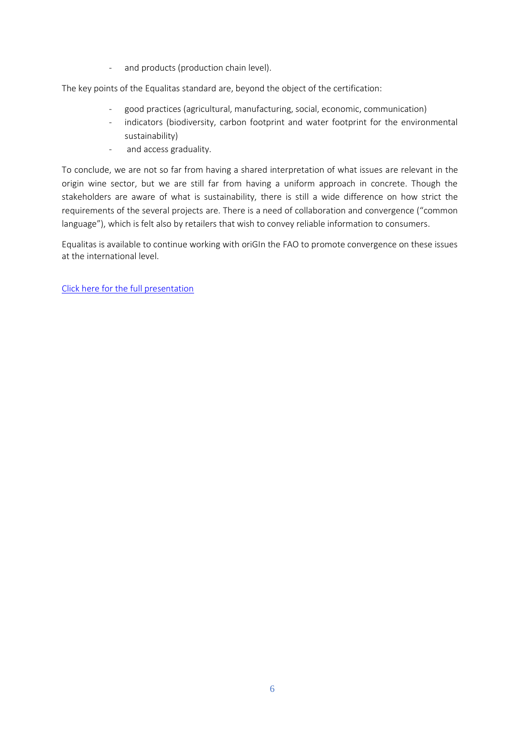- and products (production chain level).

The key points of the Equalitas standard are, beyond the object of the certification:

- good practices (agricultural, manufacturing, social, economic, communication)
- indicators (biodiversity, carbon footprint and water footprint for the environmental sustainability)
- and access graduality.

To conclude, we are not so far from having a shared interpretation of what issues are relevant in the origin wine sector, but we are still far from having a uniform approach in concrete. Though the stakeholders are aware of what is sustainability, there is still a wide difference on how strict the requirements of the several projects are. There is a need of collaboration and convergence ("common language"), which is felt also by retailers that wish to convey reliable information to consumers.

Equalitas is available to continue working with oriGIn the FAO to promote convergence on these issues at the international level.

[Click here for the full presentation](https://www.origin-gi.com/images/stories/PDFs/English/PPT/oriGIn-FAO_Series_of_webinars_2020-PPT/04-OIV.pdf)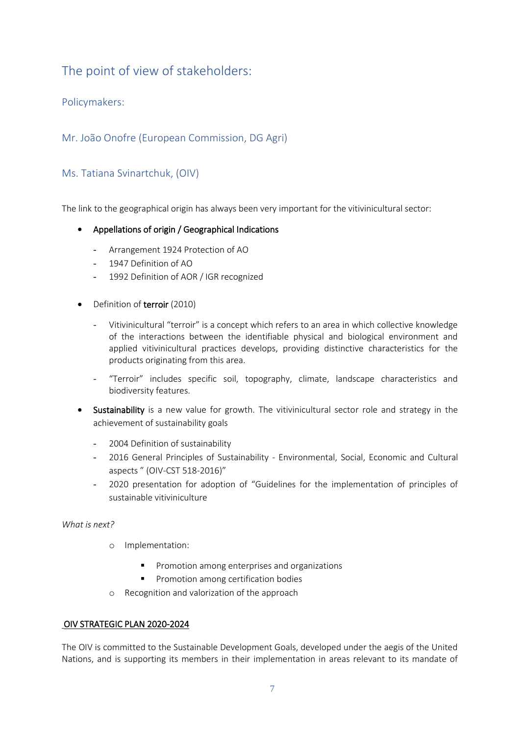## <span id="page-6-0"></span>The point of view of stakeholders:

<span id="page-6-1"></span>Policymakers:

<span id="page-6-2"></span>Mr. João Onofre (European Commission, DG Agri)

#### <span id="page-6-3"></span>Ms. Tatiana Svinartchuk, (OIV)

The link to the geographical origin has always been very important for the vitivinicultural sector:

- Appellations of origin / Geographical Indications
	- Arrangement 1924 Protection of AO
	- 1947 Definition of AO
	- 1992 Definition of AOR / IGR recognized
- Definition of terroir (2010)
	- Vitivinicultural "terroir" is a concept which refers to an area in which collective knowledge of the interactions between the identifiable physical and biological environment and applied vitivinicultural practices develops, providing distinctive characteristics for the products originating from this area.
	- "Terroir" includes specific soil, topography, climate, landscape characteristics and biodiversity features.
- Sustainability is a new value for growth. The vitivinicultural sector role and strategy in the achievement of sustainability goals
	- 2004 Definition of sustainability
	- 2016 General Principles of Sustainability Environmental, Social, Economic and Cultural aspects " (OIV-CST 518-2016)"
	- 2020 presentation for adoption of "Guidelines for the implementation of principles of sustainable vitiviniculture

#### *What is next?*

- o Implementation:
	- Promotion among enterprises and organizations
	- Promotion among certification bodies
- o Recognition and valorization of the approach

#### OIV STRATEGIC PLAN 2020-2024

The OIV is committed to the Sustainable Development Goals, developed under the aegis of the United Nations, and is supporting its members in their implementation in areas relevant to its mandate of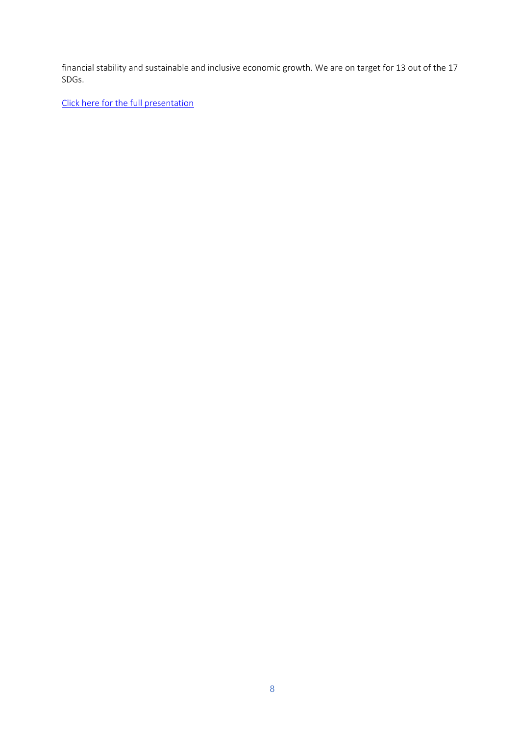financial stability and sustainable and inclusive economic growth. We are on target for 13 out of the 17 SDGs.

[Click here for the full presentation](https://www.origin-gi.com/images/stories/PDFs/English/PPT/oriGIn-FAO_Series_of_webinars_2020-PPT/04-OIV.pdf)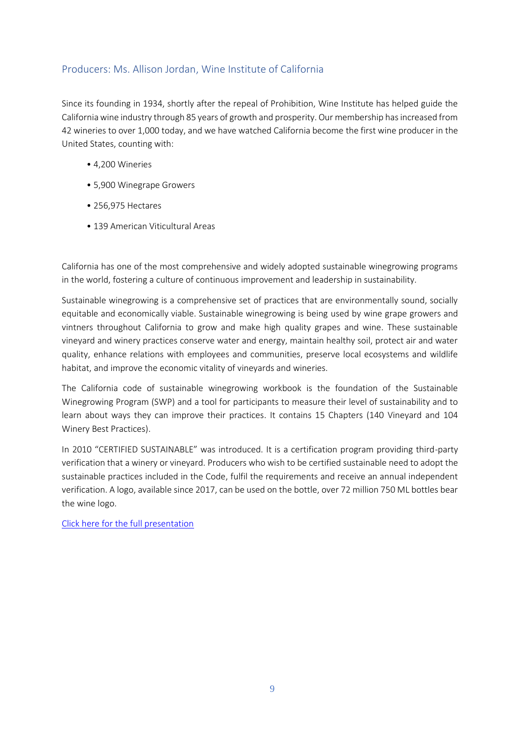#### <span id="page-8-0"></span>Producers: Ms. Allison Jordan, Wine Institute of California

Since its founding in 1934, shortly after the repeal of Prohibition, Wine Institute has helped guide the California wine industry through 85 years of growth and prosperity. Our membership has increased from 42 wineries to over 1,000 today, and we have watched California become the first wine producer in the United States, counting with:

- 4,200 Wineries
- 5,900 Winegrape Growers
- 256,975 Hectares
- 139 American Viticultural Areas

California has one of the most comprehensive and widely adopted sustainable winegrowing programs in the world, fostering a culture of continuous improvement and leadership in sustainability.

Sustainable winegrowing is a comprehensive set of practices that are environmentally sound, socially equitable and economically viable. Sustainable winegrowing is being used by wine grape growers and vintners throughout California to grow and make high quality grapes and wine. These sustainable vineyard and winery practices conserve water and energy, maintain healthy soil, protect air and water quality, enhance relations with employees and communities, preserve local ecosystems and wildlife habitat, and improve the economic vitality of vineyards and wineries.

The California code of sustainable winegrowing workbook is the foundation of the Sustainable Winegrowing Program (SWP) and a tool for participants to measure their level of sustainability and to learn about ways they can improve their practices. It contains 15 Chapters (140 Vineyard and 104 Winery Best Practices).

In 2010 "CERTIFIED SUSTAINABLE" was introduced. It is a certification program providing third-party verification that a winery or vineyard. Producers who wish to be certified sustainable need to adopt the sustainable practices included in the Code, fulfil the requirements and receive an annual independent verification. A logo, available since 2017, can be used on the bottle, over 72 million 750 ML bottles bear the wine logo.

[Click here for the full presentation](https://www.origin-gi.com/images/stories/PDFs/English/PPT/oriGIn-FAO_Series_of_webinars_2020-PPT/05-California_Perspective_oriGin_Session_10.27.2020.pdf)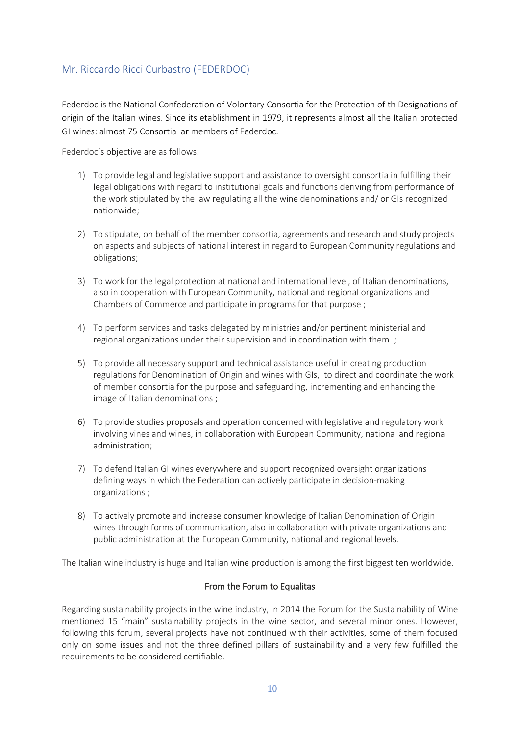#### <span id="page-9-0"></span>Mr. Riccardo Ricci Curbastro (FEDERDOC)

Federdoc is the National Confederation of Volontary Consortia for the Protection of th Designations of origin of the Italian wines. Since its etablishment in 1979, it represents almost all the Italian protected GI wines: almost 75 Consortia ar members of Federdoc.

Federdoc's objective are as follows:

- 1) To provide legal and legislative support and assistance to oversight consortia in fulfilling their legal obligations with regard to institutional goals and functions deriving from performance of the work stipulated by the law regulating all the wine denominations and/ or GIs recognized nationwide;
- 2) To stipulate, on behalf of the member consortia, agreements and research and study projects on aspects and subjects of national interest in regard to European Community regulations and obligations;
- 3) To work for the legal protection at national and international level, of Italian denominations, also in cooperation with European Community, national and regional organizations and Chambers of Commerce and participate in programs for that purpose ;
- 4) To perform services and tasks delegated by ministries and/or pertinent ministerial and regional organizations under their supervision and in coordination with them ;
- 5) To provide all necessary support and technical assistance useful in creating production regulations for Denomination of Origin and wines with GIs, to direct and coordinate the work of member consortia for the purpose and safeguarding, incrementing and enhancing the image of Italian denominations ;
- 6) To provide studies proposals and operation concerned with legislative and regulatory work involving vines and wines, in collaboration with European Community, national and regional administration;
- 7) To defend Italian GI wines everywhere and support recognized oversight organizations defining ways in which the Federation can actively participate in decision-making organizations ;
- 8) To actively promote and increase consumer knowledge of Italian Denomination of Origin wines through forms of communication, also in collaboration with private organizations and public administration at the European Community, national and regional levels.

The Italian wine industry is huge and Italian wine production is among the first biggest ten worldwide.

#### From the Forum to Equalitas

Regarding sustainability projects in the wine industry, in 2014 the Forum for the Sustainability of Wine mentioned 15 "main" sustainability projects in the wine sector, and several minor ones. However, following this forum, several projects have not continued with their activities, some of them focused only on some issues and not the three defined pillars of sustainability and a very few fulfilled the requirements to be considered certifiable.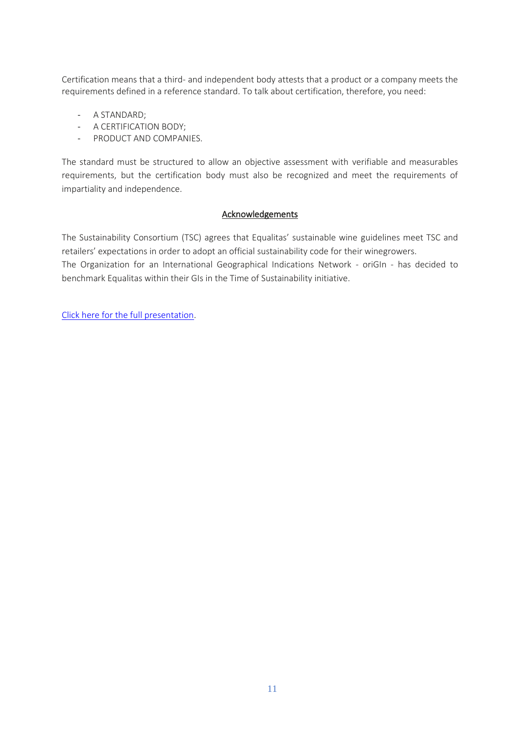Certification means that a third- and independent body attests that a product or a company meets the requirements defined in a reference standard. To talk about certification, therefore, you need:

- A STANDARD;
- A CERTIFICATION BODY;
- PRODUCT AND COMPANIES.

The standard must be structured to allow an objective assessment with verifiable and measurables requirements, but the certification body must also be recognized and meet the requirements of impartiality and independence.

#### **Acknowledgements**

The Sustainability Consortium (TSC) agrees that Equalitas' sustainable wine guidelines meet TSC and retailers' expectations in order to adopt an official sustainability code for their winegrowers.

The Organization for an International Geographical Indications Network - oriGIn - has decided to benchmark Equalitas within their GIs in the Time of Sustainability initiative.

[Click here for the full presentation.](https://www.origin-gi.com/images/stories/PDFs/English/PPT/oriGIn-FAO_Series_of_webinars_2020-PPT/06-Federdoc-_Equalitas_EN-_orIGin-_FAO_2020.pdf)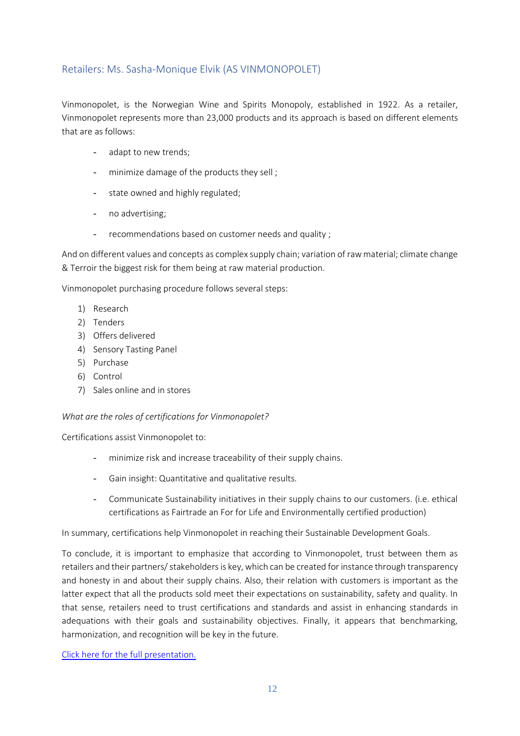#### <span id="page-11-0"></span>Retailers: Ms. Sasha-Monique Elvik (AS VINMONOPOLET)

Vinmonopolet, is the Norwegian Wine and Spirits Monopoly, established in 1922. As a retailer, Vinmonopolet represents more than 23,000 products and its approach is based on different elements that are as follows:

- adapt to new trends;
- minimize damage of the products they sell ;
- state owned and highly regulated;
- no advertising;
- recommendations based on customer needs and quality;

And on different values and concepts as complex supply chain; variation of raw material; climate change & Terroir the biggest risk for them being at raw material production.

Vinmonopolet purchasing procedure follows several steps:

- 1) Research
- 2) Tenders
- 3) Offers delivered
- 4) Sensory Tasting Panel
- 5) Purchase
- 6) Control
- 7) Sales online and in stores

#### *What are the roles of certifications for Vinmonopolet?*

Certifications assist Vinmonopolet to:

- minimize risk and increase traceability of their supply chains.
- Gain insight: Quantitative and qualitative results.
- Communicate Sustainability initiatives in their supply chains to our customers. (i.e. ethical certifications as Fairtrade an For for Life and Environmentally certified production)

In summary, certifications help Vinmonopolet in reaching their Sustainable Development Goals.

To conclude, it is important to emphasize that according to Vinmonopolet, trust between them as retailers and their partners/ stakeholders is key, which can be created for instance through transparency and honesty in and about their supply chains. Also, their relation with customers is important as the latter expect that all the products sold meet their expectations on sustainability, safety and quality. In that sense, retailers need to trust certifications and standards and assist in enhancing standards in adequations with their goals and sustainability objectives. Finally, it appears that benchmarking, harmonization, and recognition will be key in the future.

[Click here for the full presentation.](https://www.origin-gi.com/images/stories/PDFs/English/PPT/oriGIn-FAO_Series_of_webinars_2020-PPT/07-OriGIN_presentation_monopolet_rev.pdf)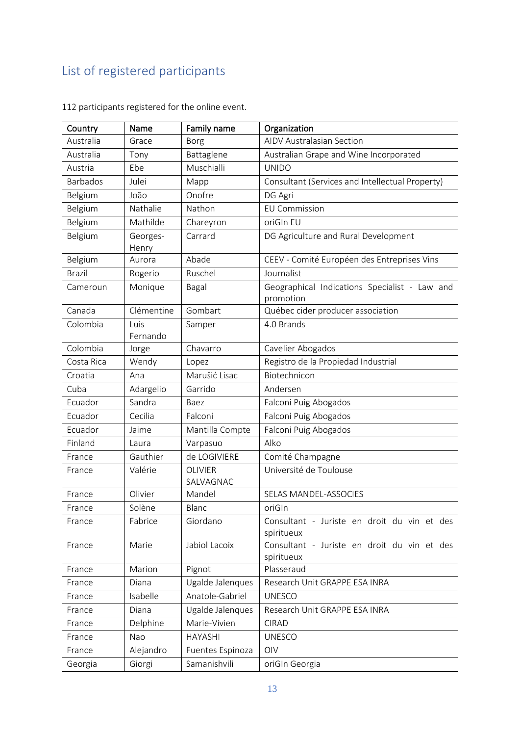# <span id="page-12-0"></span>List of registered participants

| Country         | Name              | Family name                 | Organization                                               |
|-----------------|-------------------|-----------------------------|------------------------------------------------------------|
| Australia       | Grace             | Borg                        | <b>AIDV Australasian Section</b>                           |
| Australia       | Tony              | Battaglene                  | Australian Grape and Wine Incorporated                     |
| Austria         | Ebe               | Muschialli                  | <b>UNIDO</b>                                               |
| <b>Barbados</b> | Julei             | Mapp                        | Consultant (Services and Intellectual Property)            |
| Belgium         | João              | Onofre                      | DG Agri                                                    |
| Belgium         | Nathalie          | Nathon                      | <b>EU Commission</b>                                       |
| Belgium         | Mathilde          | Chareyron                   | oriGIn EU                                                  |
| Belgium         | Georges-<br>Henry | Carrard                     | DG Agriculture and Rural Development                       |
| Belgium         | Aurora            | Abade                       | CEEV - Comité Européen des Entreprises Vins                |
| <b>Brazil</b>   | Rogerio           | Ruschel                     | Journalist                                                 |
| Cameroun        | Monique           | Bagal                       | Geographical Indications Specialist - Law and<br>promotion |
| Canada          | Clémentine        | Gombart                     | Québec cider producer association                          |
| Colombia        | Luis<br>Fernando  | Samper                      | 4.0 Brands                                                 |
| Colombia        | Jorge             | Chavarro                    | Cavelier Abogados                                          |
| Costa Rica      | Wendy             | Lopez                       | Registro de la Propiedad Industrial                        |
| Croatia         | Ana               | Marušić Lisac               | Biotechnicon                                               |
| Cuba            | Adargelio         | Garrido                     | Andersen                                                   |
| Ecuador         | Sandra            | Baez                        | Falconi Puig Abogados                                      |
| Ecuador         | Cecilia           | Falconi                     | Falconi Puig Abogados                                      |
| Ecuador         | Jaime             | Mantilla Compte             | Falconi Puig Abogados                                      |
| Finland         | Laura             | Varpasuo                    | Alko                                                       |
| France          | Gauthier          | de LOGIVIERE                | Comité Champagne                                           |
| France          | Valérie           | <b>OLIVIER</b><br>SALVAGNAC | Université de Toulouse                                     |
| France          | Olivier           | Mandel                      | SELAS MANDEL-ASSOCIES                                      |
| France          | Solène            | Blanc                       | oriGIn                                                     |
| France          | Fabrice           | Giordano                    | Consultant - Juriste en droit du vin et des<br>spiritueux  |
| France          | Marie             | Jabiol Lacoix               | Consultant - Juriste en droit du vin et des<br>spiritueux  |
| France          | Marion            | Pignot                      | Plasseraud                                                 |
| France          | Diana             | Ugalde Jalenques            | Research Unit GRAPPE ESA INRA                              |
| France          | Isabelle          | Anatole-Gabriel             | <b>UNESCO</b>                                              |
| France          | Diana             | Ugalde Jalenques            | Research Unit GRAPPE ESA INRA                              |
| France          | Delphine          | Marie-Vivien                | <b>CIRAD</b>                                               |
| France          | Nao               | <b>HAYASHI</b>              | <b>UNESCO</b>                                              |
| France          | Alejandro         | Fuentes Espinoza            | OIV                                                        |
| Georgia         | Giorgi            | Samanishvili                | oriGIn Georgia                                             |

112 participants registered for the online event.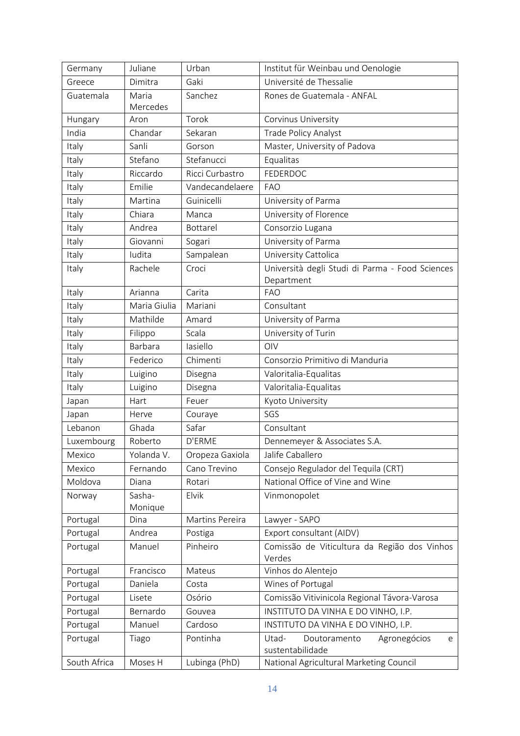| Germany      | Juliane      | Urban           | Institut für Weinbau und Oenologie                     |
|--------------|--------------|-----------------|--------------------------------------------------------|
| Greece       | Dimitra      | Gaki            | Université de Thessalie                                |
| Guatemala    | Maria        | Sanchez         | Rones de Guatemala - ANFAL                             |
|              | Mercedes     |                 |                                                        |
| Hungary      | Aron         | Torok           | Corvinus University                                    |
| India        | Chandar      | Sekaran         | <b>Trade Policy Analyst</b>                            |
| Italy        | Sanli        | Gorson          | Master, University of Padova                           |
| Italy        | Stefano      | Stefanucci      | Equalitas                                              |
| Italy        | Riccardo     | Ricci Curbastro | FEDERDOC                                               |
| Italy        | Emilie       | Vandecandelaere | <b>FAO</b>                                             |
| Italy        | Martina      | Guinicelli      | University of Parma                                    |
| Italy        | Chiara       | Manca           | University of Florence                                 |
| Italy        | Andrea       | Bottarel        | Consorzio Lugana                                       |
| Italy        | Giovanni     | Sogari          | University of Parma                                    |
| Italy        | Iudita       | Sampalean       | University Cattolica                                   |
| Italy        | Rachele      | Croci           | Università degli Studi di Parma - Food Sciences        |
|              |              |                 | Department                                             |
| Italy        | Arianna      | Carita          | <b>FAO</b>                                             |
| Italy        | Maria Giulia | Mariani         | Consultant                                             |
| Italy        | Mathilde     | Amard           | University of Parma                                    |
| Italy        | Filippo      | Scala           | University of Turin                                    |
| Italy        | Barbara      | lasiello        | OIV                                                    |
| Italy        | Federico     | Chimenti        | Consorzio Primitivo di Manduria                        |
| Italy        | Luigino      | Disegna         | Valoritalia-Equalitas                                  |
| Italy        | Luigino      | Disegna         | Valoritalia-Equalitas                                  |
| Japan        | Hart         | Feuer           | Kyoto University                                       |
| Japan        | Herve        | Couraye         | SGS                                                    |
| Lebanon      | Ghada        | Safar           | Consultant                                             |
| Luxembourg   | Roberto      | D'ERME          | Dennemeyer & Associates S.A.                           |
| Mexico       | Yolanda V.   | Oropeza Gaxiola | Jalife Caballero                                       |
| Mexico       | Fernando     | Cano Trevino    | Consejo Regulador del Tequila (CRT)                    |
| Moldova      | Diana        | Rotari          | National Office of Vine and Wine                       |
| Norway       | Sasha-       | Elvik           | Vinmonopolet                                           |
|              | Monique      |                 |                                                        |
| Portugal     | Dina         | Martins Pereira | Lawyer - SAPO                                          |
| Portugal     | Andrea       | Postiga         | Export consultant (AIDV)                               |
| Portugal     | Manuel       | Pinheiro        | Comissão de Viticultura da Região dos Vinhos<br>Verdes |
| Portugal     | Francisco    | Mateus          | Vinhos do Alentejo                                     |
| Portugal     | Daniela      | Costa           | Wines of Portugal                                      |
| Portugal     | Lisete       | Osório          | Comissão Vitivinicola Regional Távora-Varosa           |
| Portugal     | Bernardo     | Gouvea          | INSTITUTO DA VINHA E DO VINHO, I.P.                    |
| Portugal     | Manuel       | Cardoso         | INSTITUTO DA VINHA E DO VINHO, I.P.                    |
| Portugal     | Tiago        | Pontinha        | Utad-<br>Agronegócios<br>Doutoramento<br>e             |
|              |              |                 | sustentabilidade                                       |
| South Africa | Moses H      | Lubinga (PhD)   | National Agricultural Marketing Council                |